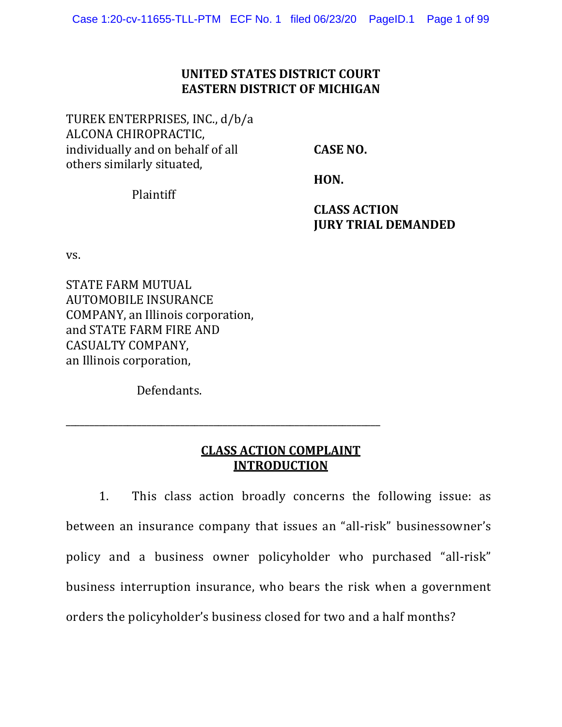## **UNITED STATES DISTRICT COURT EASTERN DISTRICT OF MICHIGAN**

TUREK ENTERPRISES, INC., d/b/a ALCONA CHIROPRACTIC, individually and on behalf of all others similarly situated,

**CASE NO.**

Plaintiff

**HON.** 

**CLASS ACTION JURY TRIAL DEMANDED**

vs.

STATE FARM MUTUAL AUTOMOBILE INSURANCE COMPANY, an Illinois corporation, and STATE FARM FIRE AND CASUALTY COMPANY, an Illinois corporation,

Defendants.

\_\_\_\_\_\_\_\_\_\_\_\_\_\_\_\_\_\_\_\_\_\_\_\_\_\_\_\_\_\_\_\_\_\_\_\_\_\_\_\_\_\_\_\_\_\_\_\_\_\_\_\_\_\_\_\_\_\_\_\_\_\_\_\_\_\_

## **CLASS ACTION COMPLAINT INTRODUCTION**

1. This class action broadly concerns the following issue: as between an insurance company that issues an "all-risk" businessowner's policy and a business owner policyholder who purchased "all-risk" business interruption insurance, who bears the risk when a government orders the policyholder's business closed for two and a half months?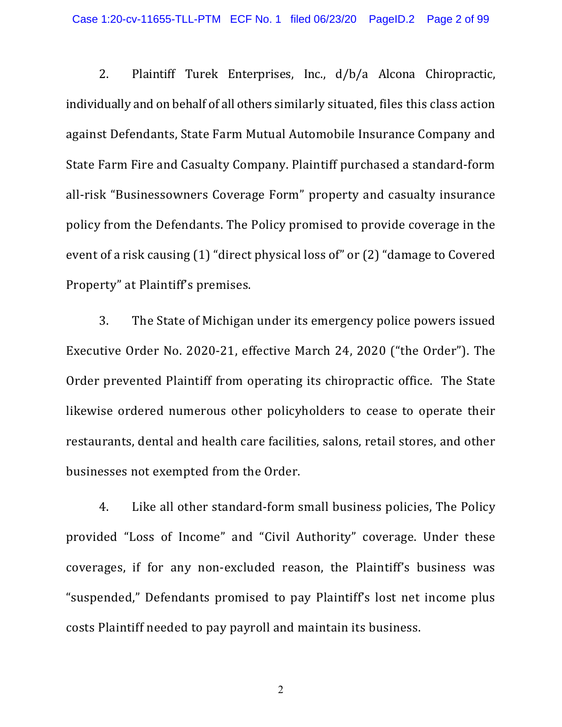2. Plaintiff Turek Enterprises, Inc., d/b/a Alcona Chiropractic, individually and on behalf of all others similarly situated, files this class action against Defendants, State Farm Mutual Automobile Insurance Company and State Farm Fire and Casualty Company. Plaintiff purchased a standard-form all-risk "Businessowners Coverage Form" property and casualty insurance policy from the Defendants. The Policy promised to provide coverage in the event of a risk causing (1) "direct physical loss of" or (2) "damage to Covered Property" at Plaintiff's premises.

3. The State of Michigan under its emergency police powers issued Executive Order No. 2020-21, effective March 24, 2020 ("the Order"). The Order prevented Plaintiff from operating its chiropractic office. The State likewise ordered numerous other policyholders to cease to operate their restaurants, dental and health care facilities, salons, retail stores, and other businesses not exempted from the Order.

4. Like all other standard-form small business policies, The Policy provided "Loss of Income" and "Civil Authority" coverage. Under these coverages, if for any non-excluded reason, the Plaintiff's business was "suspended," Defendants promised to pay Plaintiff's lost net income plus costs Plaintiff needed to pay payroll and maintain its business.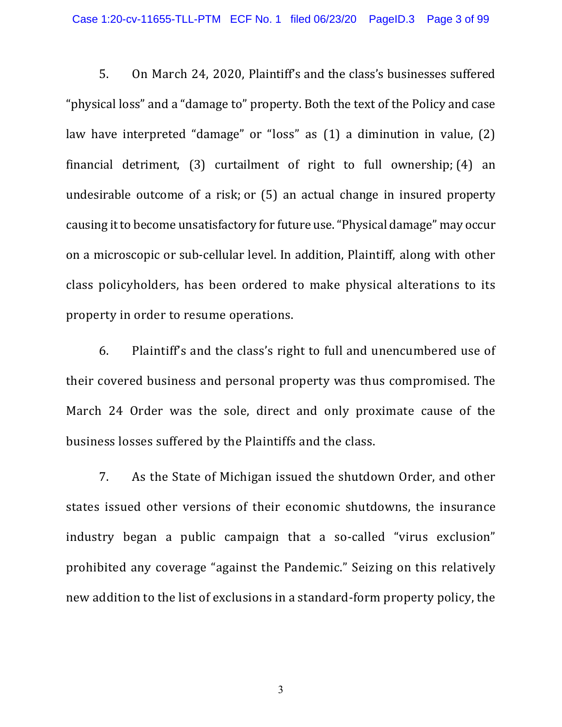5. On March 24, 2020, Plaintiff's and the class's businesses suffered "physical loss" and a "damage to" property. Both the text of the Policy and case law have interpreted "damage" or "loss" as (1) a diminution in value, (2) financial detriment, (3) curtailment of right to full ownership; (4) an undesirable outcome of a risk; or (5) an actual change in insured property causing it to become unsatisfactory for future use. "Physical damage" may occur on a microscopic or sub-cellular level. In addition, Plaintiff, along with other class policyholders, has been ordered to make physical alterations to its property in order to resume operations.

6. Plaintiff's and the class's right to full and unencumbered use of their covered business and personal property was thus compromised. The March 24 Order was the sole, direct and only proximate cause of the business losses suffered by the Plaintiffs and the class.

7. As the State of Michigan issued the shutdown Order, and other states issued other versions of their economic shutdowns, the insurance industry began a public campaign that a so-called "virus exclusion" prohibited any coverage "against the Pandemic." Seizing on this relatively new addition to the list of exclusions in a standard-form property policy, the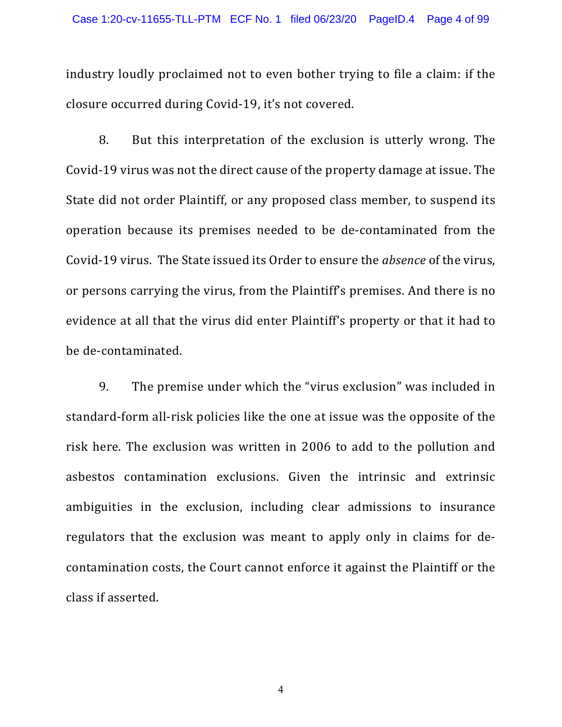industry loudly proclaimed not to even bother trying to file a claim: if the closure occurred during Covid-19, it's not covered.

8. But this interpretation of the exclusion is utterly wrong. The Covid-19 virus was not the direct cause of the property damage at issue. The State did not order Plaintiff, or any proposed class member, to suspend its operation because its premises needed to be de-contaminated from the Covid-19 virus. The State issued its Order to ensure the *absence* of the virus, or persons carrying the virus, from the Plaintiff's premises. And there is no evidence at all that the virus did enter Plaintiff's property or that it had to be de-contaminated.

9. The premise under which the "virus exclusion" was included in standard-form all-risk policies like the one at issue was the opposite of the risk here. The exclusion was written in 2006 to add to the pollution and asbestos contamination exclusions. Given the intrinsic and extrinsic ambiguities in the exclusion, including clear admissions to insurance regulators that the exclusion was meant to apply only in claims for decontamination costs, the Court cannot enforce it against the Plaintiff or the class if asserted.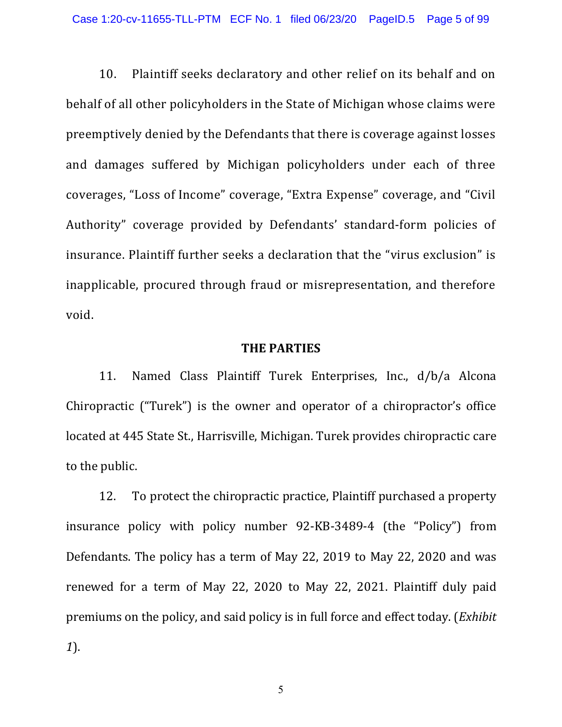10. Plaintiff seeks declaratory and other relief on its behalf and on behalf of all other policyholders in the State of Michigan whose claims were preemptively denied by the Defendants that there is coverage against losses and damages suffered by Michigan policyholders under each of three coverages, "Loss of Income" coverage, "Extra Expense" coverage, and "Civil Authority" coverage provided by Defendants' standard-form policies of insurance. Plaintiff further seeks a declaration that the "virus exclusion" is inapplicable, procured through fraud or misrepresentation, and therefore void.

#### **THE PARTIES**

11. Named Class Plaintiff Turek Enterprises, Inc., d/b/a Alcona Chiropractic ("Turek") is the owner and operator of a chiropractor's office located at 445 State St., Harrisville, Michigan. Turek provides chiropractic care to the public.

12. To protect the chiropractic practice, Plaintiff purchased a property insurance policy with policy number 92-KB-3489-4 (the "Policy") from Defendants. The policy has a term of May 22, 2019 to May 22, 2020 and was renewed for a term of May 22, 2020 to May 22, 2021. Plaintiff duly paid premiums on the policy, and said policy is in full force and effect today. (*Exhibit 1*).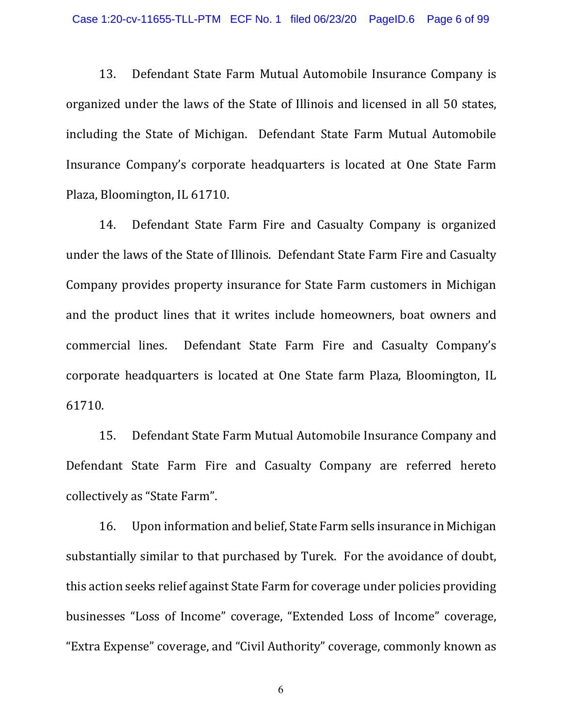13. Defendant State Farm Mutual Automobile Insurance Company is organized under the laws of the State of Illinois and licensed in all 50 states, including the State of Michigan. Defendant State Farm Mutual Automobile Insurance Company's corporate headquarters is located at One State Farm Plaza, Bloomington, IL 61710.

14. Defendant State Farm Fire and Casualty Company is organized under the laws of the State of Illinois. Defendant State Farm Fire and Casualty Company provides property insurance for State Farm customers in Michigan and the product lines that it writes include homeowners, boat owners and commercial lines. Defendant State Farm Fire and Casualty Company's corporate headquarters is located at One State farm Plaza, Bloomington, IL 61710.

15. Defendant State Farm Mutual Automobile Insurance Company and Defendant State Farm Fire and Casualty Company are referred hereto collectively as "State Farm".

16. Upon information and belief, State Farm sells insurance in Michigan substantially similar to that purchased by Turek. For the avoidance of doubt, this action seeks relief against State Farm for coverage under policies providing businesses "Loss of Income" coverage, "Extended Loss of Income" coverage, "Extra Expense" coverage, and "Civil Authority" coverage, commonly known as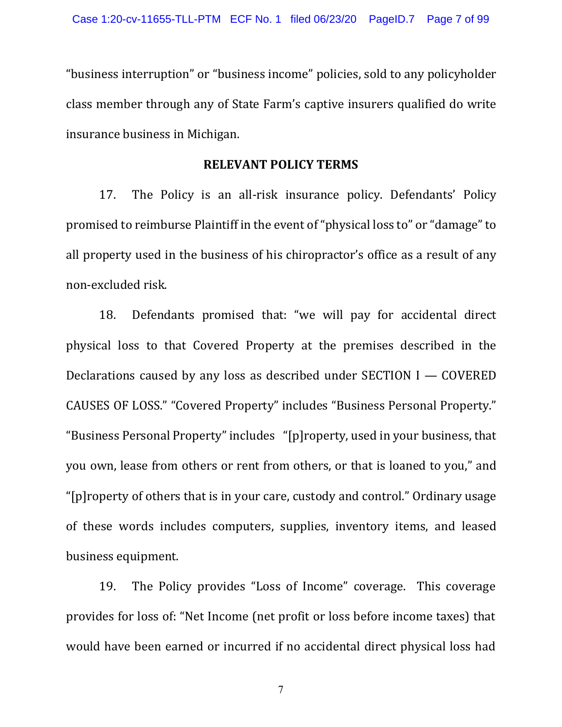"business interruption" or "business income" policies, sold to any policyholder class member through any of State Farm's captive insurers qualified do write insurance business in Michigan.

#### **RELEVANT POLICY TERMS**

17. The Policy is an all-risk insurance policy. Defendants' Policy promised to reimburse Plaintiff in the event of "physical loss to" or "damage" to all property used in the business of his chiropractor's office as a result of any non-excluded risk.

18. Defendants promised that: "we will pay for accidental direct physical loss to that Covered Property at the premises described in the Declarations caused by any loss as described under SECTION I — COVERED CAUSES OF LOSS." "Covered Property" includes "Business Personal Property." "Business Personal Property" includes "[p]roperty, used in your business, that you own, lease from others or rent from others, or that is loaned to you," and "[p]roperty of others that is in your care, custody and control." Ordinary usage of these words includes computers, supplies, inventory items, and leased business equipment.

19. The Policy provides "Loss of Income" coverage. This coverage provides for loss of: "Net Income (net profit or loss before income taxes) that would have been earned or incurred if no accidental direct physical loss had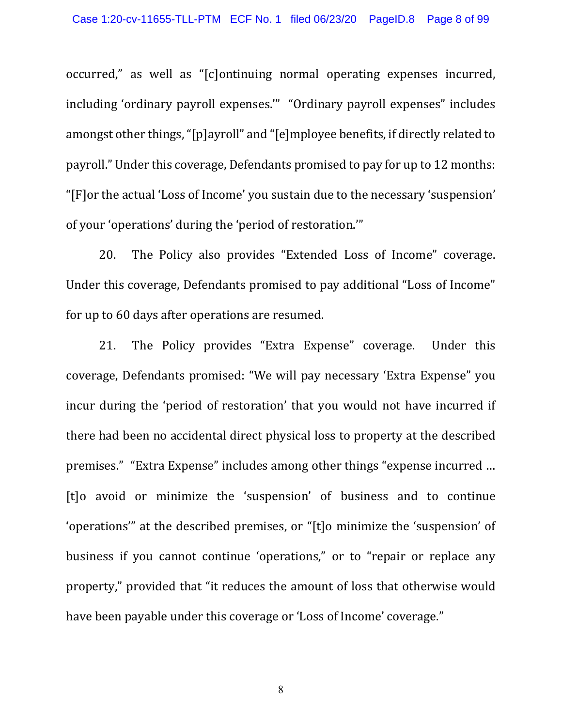occurred," as well as "[c]ontinuing normal operating expenses incurred, including 'ordinary payroll expenses.'" "Ordinary payroll expenses" includes amongst other things, "[p]ayroll" and "[e]mployee benefits, if directly related to payroll." Under this coverage, Defendants promised to pay for up to 12 months: "[F]or the actual 'Loss of Income' you sustain due to the necessary 'suspension' of your 'operations' during the 'period of restoration.'"

20. The Policy also provides "Extended Loss of Income" coverage. Under this coverage, Defendants promised to pay additional "Loss of Income" for up to 60 days after operations are resumed.

21. The Policy provides "Extra Expense" coverage. Under this coverage, Defendants promised: "We will pay necessary 'Extra Expense" you incur during the 'period of restoration' that you would not have incurred if there had been no accidental direct physical loss to property at the described premises." "Extra Expense" includes among other things "expense incurred … [t]o avoid or minimize the 'suspension' of business and to continue 'operations'" at the described premises, or "[t]o minimize the 'suspension' of business if you cannot continue 'operations," or to "repair or replace any property," provided that "it reduces the amount of loss that otherwise would have been payable under this coverage or 'Loss of Income' coverage."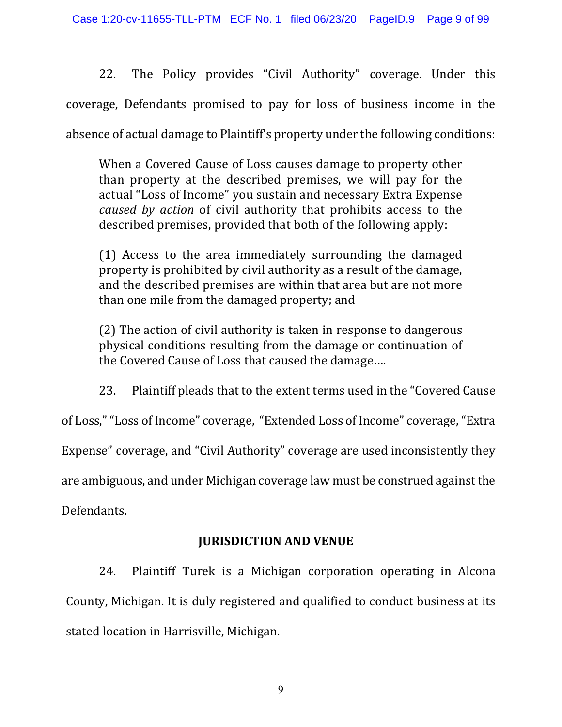22. The Policy provides "Civil Authority" coverage. Under this coverage, Defendants promised to pay for loss of business income in the absence of actual damage to Plaintiff's property under the following conditions:

When a Covered Cause of Loss causes damage to property other than property at the described premises, we will pay for the actual "Loss of Income" you sustain and necessary Extra Expense *caused by action* of civil authority that prohibits access to the described premises, provided that both of the following apply:

(1) Access to the area immediately surrounding the damaged property is prohibited by civil authority as a result of the damage, and the described premises are within that area but are not more than one mile from the damaged property; and

(2) The action of civil authority is taken in response to dangerous physical conditions resulting from the damage or continuation of the Covered Cause of Loss that caused the damage….

23. Plaintiff pleads that to the extent terms used in the "Covered Cause

of Loss," "Loss of Income" coverage, "Extended Loss of Income" coverage, "Extra

Expense" coverage, and "Civil Authority" coverage are used inconsistently they

are ambiguous, and under Michigan coverage law must be construed against the

Defendants.

# **JURISDICTION AND VENUE**

24. Plaintiff Turek is a Michigan corporation operating in Alcona County, Michigan. It is duly registered and qualified to conduct business at its stated location in Harrisville, Michigan.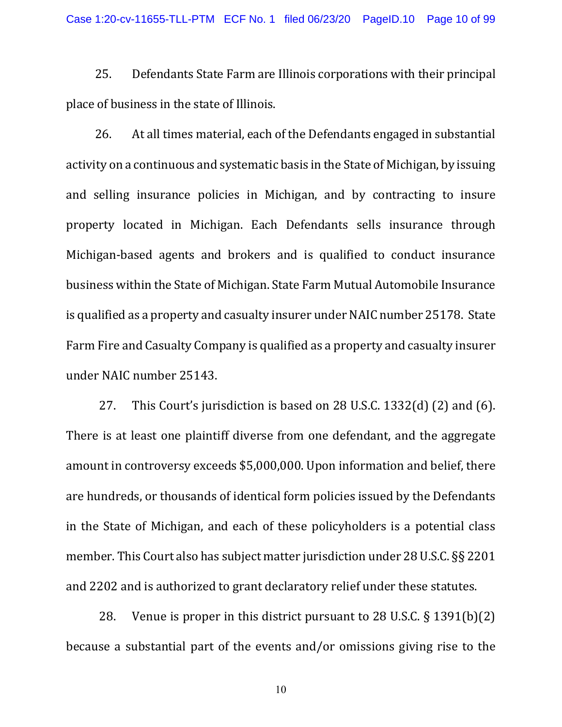25. Defendants State Farm are Illinois corporations with their principal place of business in the state of Illinois.

26. At all times material, each of the Defendants engaged in substantial activity on a continuous and systematic basis in the State of Michigan, by issuing and selling insurance policies in Michigan, and by contracting to insure property located in Michigan. Each Defendants sells insurance through Michigan-based agents and brokers and is qualified to conduct insurance business within the State of Michigan. State Farm Mutual Automobile Insurance is qualified as a property and casualty insurer under NAIC number 25178. State Farm Fire and Casualty Company is qualified as a property and casualty insurer under NAIC number 25143.

27. This Court's jurisdiction is based on 28 U.S.C. 1332(d) (2) and (6). There is at least one plaintiff diverse from one defendant, and the aggregate amount in controversy exceeds \$5,000,000. Upon information and belief, there are hundreds, or thousands of identical form policies issued by the Defendants in the State of Michigan, and each of these policyholders is a potential class member. This Court also has subject matter jurisdiction under 28 U.S.C. §§ 2201 and 2202 and is authorized to grant declaratory relief under these statutes.

28. Venue is proper in this district pursuant to 28 U.S.C. § 1391(b)(2) because a substantial part of the events and/or omissions giving rise to the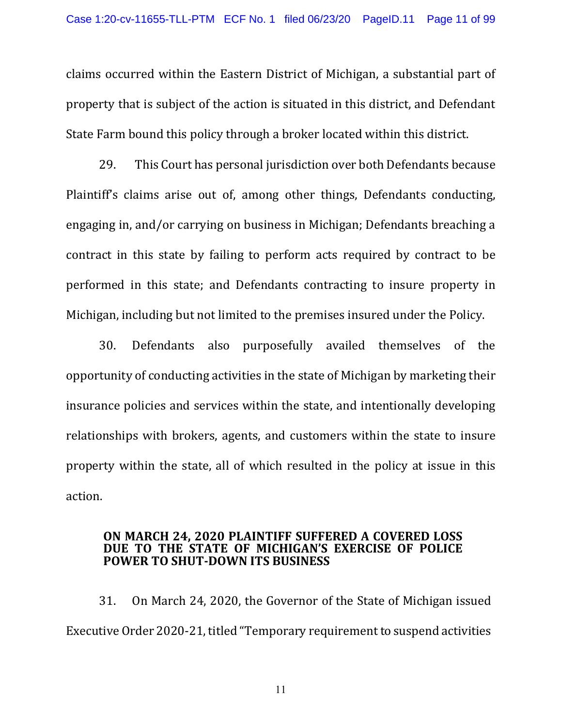claims occurred within the Eastern District of Michigan, a substantial part of property that is subject of the action is situated in this district, and Defendant State Farm bound this policy through a broker located within this district.

29. This Court has personal jurisdiction over both Defendants because Plaintiff's claims arise out of, among other things, Defendants conducting, engaging in, and/or carrying on business in Michigan; Defendants breaching a contract in this state by failing to perform acts required by contract to be performed in this state; and Defendants contracting to insure property in Michigan, including but not limited to the premises insured under the Policy.

30. Defendants also purposefully availed themselves of the opportunity of conducting activities in the state of Michigan by marketing their insurance policies and services within the state, and intentionally developing relationships with brokers, agents, and customers within the state to insure property within the state, all of which resulted in the policy at issue in this action.

#### **ON MARCH 24, 2020 PLAINTIFF SUFFERED A COVERED LOSS DUE TO THE STATE OF MICHIGAN'S EXERCISE OF POLICE POWER TO SHUT-DOWN ITS BUSINESS**

31. On March 24, 2020, the Governor of the State of Michigan issued Executive Order 2020-21, titled "Temporary requirement to suspend activities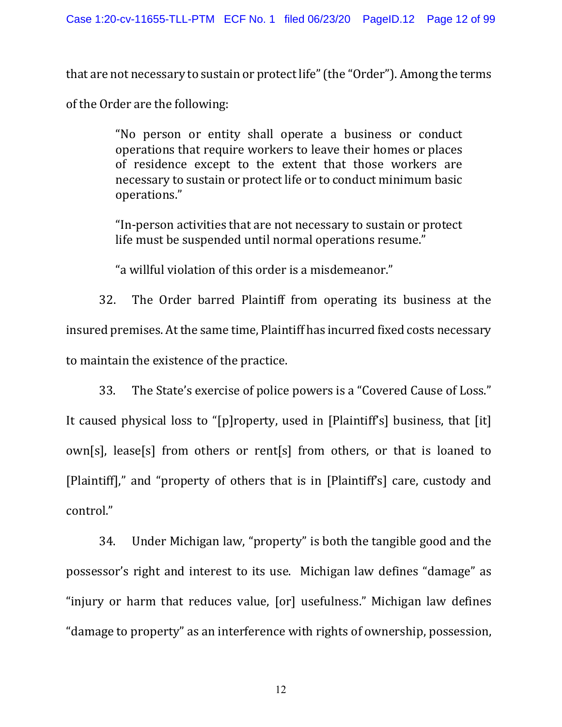that are not necessary to sustain or protect life" (the "Order"). Among the terms

of the Order are the following:

"No person or entity shall operate a business or conduct operations that require workers to leave their homes or places of residence except to the extent that those workers are necessary to sustain or protect life or to conduct minimum basic operations."

"In-person activities that are not necessary to sustain or protect life must be suspended until normal operations resume."

"a willful violation of this order is a misdemeanor."

32. The Order barred Plaintiff from operating its business at the insured premises. At the same time, Plaintiff has incurred fixed costs necessary to maintain the existence of the practice.

33. The State's exercise of police powers is a "Covered Cause of Loss." It caused physical loss to "[p]roperty, used in [Plaintiff's] business, that [it] own[s], lease[s] from others or rent[s] from others, or that is loaned to [Plaintiff]," and "property of others that is in [Plaintiff's] care, custody and control."

34. Under Michigan law, "property" is both the tangible good and the possessor's right and interest to its use. Michigan law defines "damage" as "injury or harm that reduces value, [or] usefulness." Michigan law defines "damage to property" as an interference with rights of ownership, possession,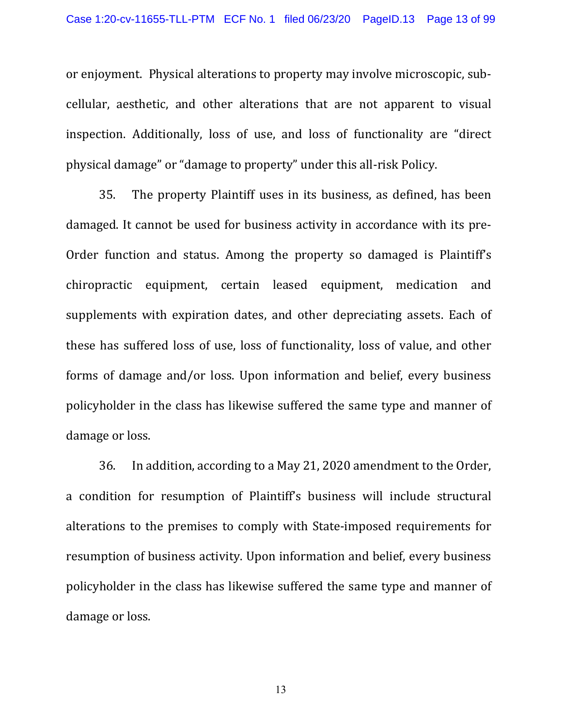or enjoyment. Physical alterations to property may involve microscopic, subcellular, aesthetic, and other alterations that are not apparent to visual inspection. Additionally, loss of use, and loss of functionality are "direct physical damage" or "damage to property" under this all-risk Policy.

35. The property Plaintiff uses in its business, as defined, has been damaged. It cannot be used for business activity in accordance with its pre-Order function and status. Among the property so damaged is Plaintiff's chiropractic equipment, certain leased equipment, medication and supplements with expiration dates, and other depreciating assets. Each of these has suffered loss of use, loss of functionality, loss of value, and other forms of damage and/or loss. Upon information and belief, every business policyholder in the class has likewise suffered the same type and manner of damage or loss.

36. In addition, according to a May 21, 2020 amendment to the Order, a condition for resumption of Plaintiff's business will include structural alterations to the premises to comply with State-imposed requirements for resumption of business activity. Upon information and belief, every business policyholder in the class has likewise suffered the same type and manner of damage or loss.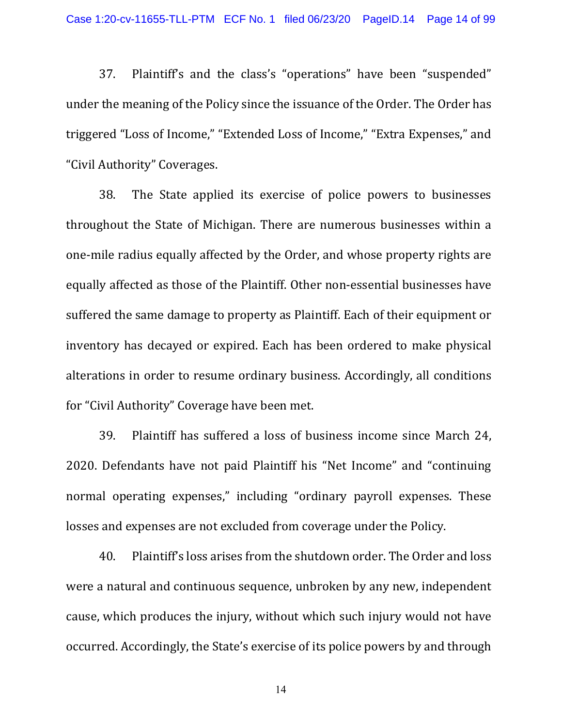37. Plaintiff's and the class's "operations" have been "suspended" under the meaning of the Policy since the issuance of the Order. The Order has triggered "Loss of Income," "Extended Loss of Income," "Extra Expenses," and "Civil Authority" Coverages.

38. The State applied its exercise of police powers to businesses throughout the State of Michigan. There are numerous businesses within a one-mile radius equally affected by the Order, and whose property rights are equally affected as those of the Plaintiff. Other non-essential businesses have suffered the same damage to property as Plaintiff. Each of their equipment or inventory has decayed or expired. Each has been ordered to make physical alterations in order to resume ordinary business. Accordingly, all conditions for "Civil Authority" Coverage have been met.

39. Plaintiff has suffered a loss of business income since March 24, 2020. Defendants have not paid Plaintiff his "Net Income" and "continuing normal operating expenses," including "ordinary payroll expenses. These losses and expenses are not excluded from coverage under the Policy.

40. Plaintiff's loss arises from the shutdown order. The Order and loss were a natural and continuous sequence, unbroken by any new, independent cause, which produces the injury, without which such injury would not have occurred. Accordingly, the State's exercise of its police powers by and through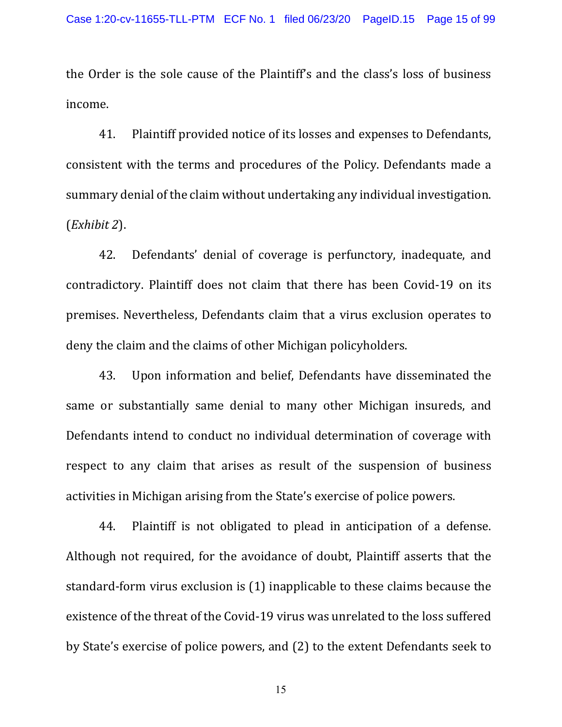the Order is the sole cause of the Plaintiff's and the class's loss of business income.

41. Plaintiff provided notice of its losses and expenses to Defendants, consistent with the terms and procedures of the Policy. Defendants made a summary denial of the claim without undertaking any individual investigation. (*Exhibit 2*).

42. Defendants' denial of coverage is perfunctory, inadequate, and contradictory. Plaintiff does not claim that there has been Covid-19 on its premises. Nevertheless, Defendants claim that a virus exclusion operates to deny the claim and the claims of other Michigan policyholders.

43. Upon information and belief, Defendants have disseminated the same or substantially same denial to many other Michigan insureds, and Defendants intend to conduct no individual determination of coverage with respect to any claim that arises as result of the suspension of business activities in Michigan arising from the State's exercise of police powers.

44. Plaintiff is not obligated to plead in anticipation of a defense. Although not required, for the avoidance of doubt, Plaintiff asserts that the standard-form virus exclusion is (1) inapplicable to these claims because the existence of the threat of the Covid-19 virus was unrelated to the loss suffered by State's exercise of police powers, and (2) to the extent Defendants seek to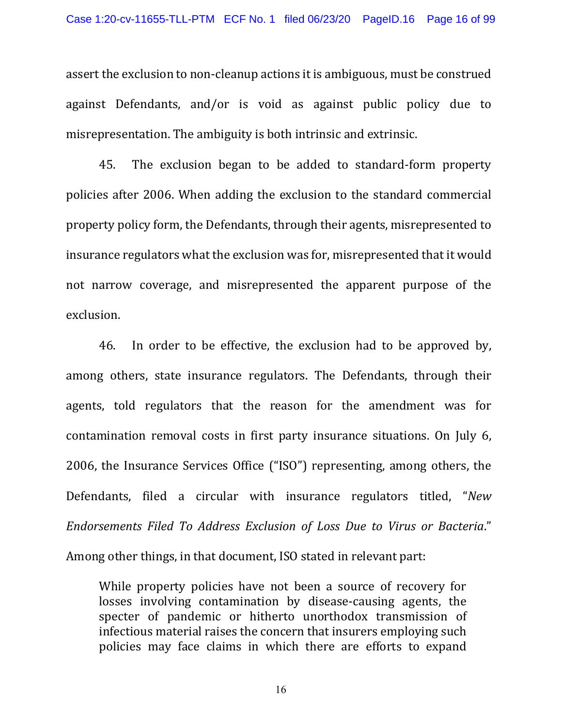assert the exclusion to non-cleanup actions it is ambiguous, must be construed against Defendants, and/or is void as against public policy due to misrepresentation. The ambiguity is both intrinsic and extrinsic.

45. The exclusion began to be added to standard-form property policies after 2006. When adding the exclusion to the standard commercial property policy form, the Defendants, through their agents, misrepresented to insurance regulators what the exclusion was for, misrepresented that it would not narrow coverage, and misrepresented the apparent purpose of the exclusion.

46. In order to be effective, the exclusion had to be approved by, among others, state insurance regulators. The Defendants, through their agents, told regulators that the reason for the amendment was for contamination removal costs in first party insurance situations. On July 6, 2006, the Insurance Services Office ("ISO") representing, among others, the Defendants, filed a circular with insurance regulators titled, "*New Endorsements Filed To Address Exclusion of Loss Due to Virus or Bacteria*."

Among other things, in that document, ISO stated in relevant part:

While property policies have not been a source of recovery for losses involving contamination by disease-causing agents, the specter of pandemic or hitherto unorthodox transmission of infectious material raises the concern that insurers employing such policies may face claims in which there are efforts to expand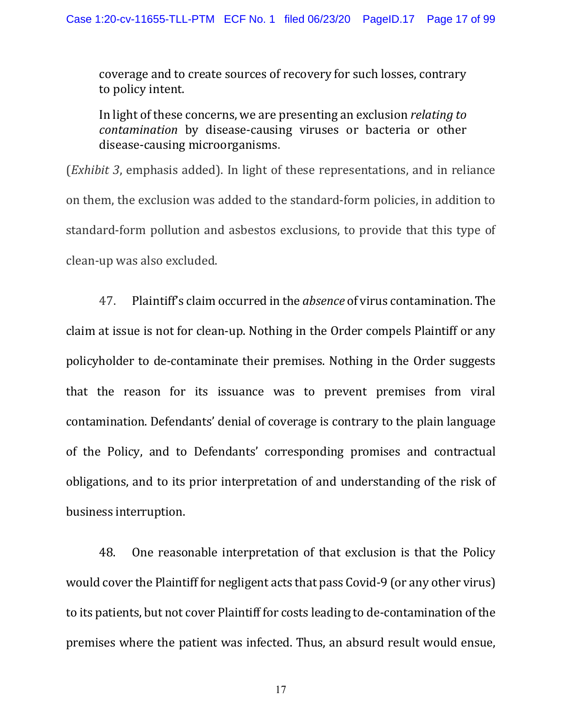coverage and to create sources of recovery for such losses, contrary to policy intent.

In light of these concerns, we are presenting an exclusion *relating to contamination* by disease-causing viruses or bacteria or other disease-causing microorganisms.

(*Exhibit 3*, emphasis added). In light of these representations, and in reliance on them, the exclusion was added to the standard-form policies, in addition to standard-form pollution and asbestos exclusions, to provide that this type of clean-up was also excluded.

47. Plaintiff's claim occurred in the *absence* of virus contamination. The claim at issue is not for clean-up. Nothing in the Order compels Plaintiff or any policyholder to de-contaminate their premises. Nothing in the Order suggests that the reason for its issuance was to prevent premises from viral contamination. Defendants' denial of coverage is contrary to the plain language of the Policy, and to Defendants' corresponding promises and contractual obligations, and to its prior interpretation of and understanding of the risk of business interruption.

48. One reasonable interpretation of that exclusion is that the Policy would cover the Plaintiff for negligent acts that pass Covid-9 (or any other virus) to its patients, but not cover Plaintiff for costs leading to de-contamination of the premises where the patient was infected. Thus, an absurd result would ensue,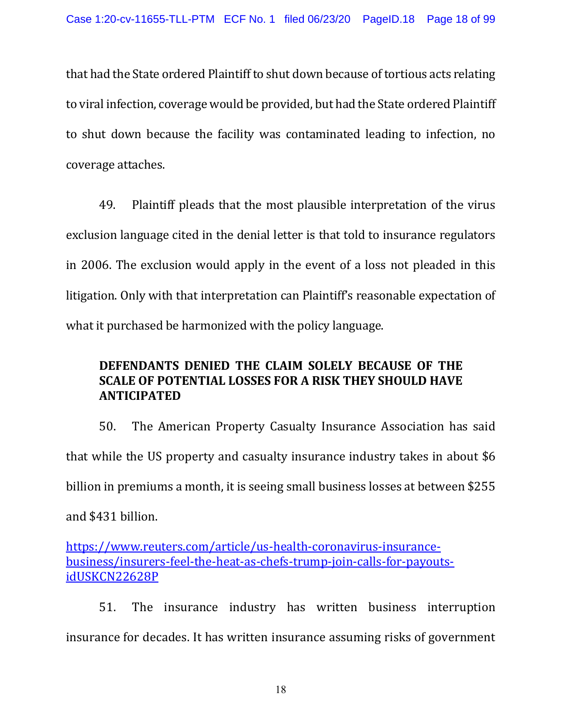that had the State ordered Plaintiff to shut down because of tortious acts relating to viral infection, coverage would be provided, but had the State ordered Plaintiff to shut down because the facility was contaminated leading to infection, no coverage attaches.

49. Plaintiff pleads that the most plausible interpretation of the virus exclusion language cited in the denial letter is that told to insurance regulators in 2006. The exclusion would apply in the event of a loss not pleaded in this litigation. Only with that interpretation can Plaintiff's reasonable expectation of what it purchased be harmonized with the policy language.

# **DEFENDANTS DENIED THE CLAIM SOLELY BECAUSE OF THE SCALE OF POTENTIAL LOSSES FOR A RISK THEY SHOULD HAVE ANTICIPATED**

50. The American Property Casualty Insurance Association has said that while the US property and casualty insurance industry takes in about \$6 billion in premiums a month, it is seeing small business losses at between \$255 and \$431 billion.

[https://www.reuters.com/article/us-health-coronavirus-insurance](https://www.reuters.com/article/us-health-coronavirus-insurance-business/insurers-feel-the-heat-as-chefs-trump-join-calls-for-payouts-idUSKCN22628P)[business/insurers-feel-the-heat-as-chefs-trump-join-calls-for-payouts](https://www.reuters.com/article/us-health-coronavirus-insurance-business/insurers-feel-the-heat-as-chefs-trump-join-calls-for-payouts-idUSKCN22628P)[idUSKCN22628P](https://www.reuters.com/article/us-health-coronavirus-insurance-business/insurers-feel-the-heat-as-chefs-trump-join-calls-for-payouts-idUSKCN22628P)

51. The insurance industry has written business interruption insurance for decades. It has written insurance assuming risks of government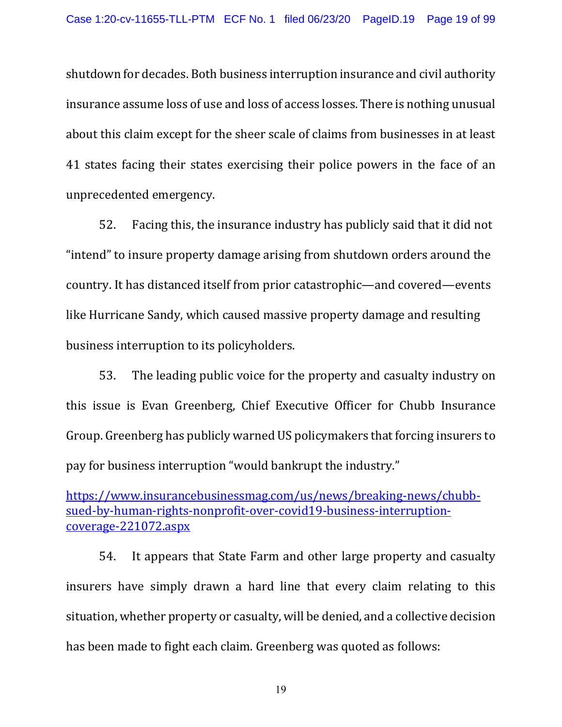shutdown for decades. Both business interruption insurance and civil authority insurance assume loss of use and loss of access losses. There is nothing unusual about this claim except for the sheer scale of claims from businesses in at least 41 states facing their states exercising their police powers in the face of an unprecedented emergency.

52. Facing this, the insurance industry has publicly said that it did not "intend" to insure property damage arising from shutdown orders around the country. It has distanced itself from prior catastrophic—and covered—events like Hurricane Sandy, which caused massive property damage and resulting business interruption to its policyholders.

53. The leading public voice for the property and casualty industry on this issue is Evan Greenberg, Chief Executive Officer for Chubb Insurance Group. Greenberg has publicly warned US policymakers that forcing insurers to pay for business interruption "would bankrupt the industry."

[https://www.insurancebusinessmag.com/us/news/breaking-news/chubb](https://www.insurancebusinessmag.com/us/news/breaking-news/chubb-sued-by-human-rights-nonprofit-over-covid19-business-interruption-coverage-221072.aspx)[sued-by-human-rights-nonprofit-over-covid19-business-interruption](https://www.insurancebusinessmag.com/us/news/breaking-news/chubb-sued-by-human-rights-nonprofit-over-covid19-business-interruption-coverage-221072.aspx)[coverage-221072.aspx](https://www.insurancebusinessmag.com/us/news/breaking-news/chubb-sued-by-human-rights-nonprofit-over-covid19-business-interruption-coverage-221072.aspx)

54. It appears that State Farm and other large property and casualty insurers have simply drawn a hard line that every claim relating to this situation, whether property or casualty, will be denied, and a collective decision has been made to fight each claim. Greenberg was quoted as follows: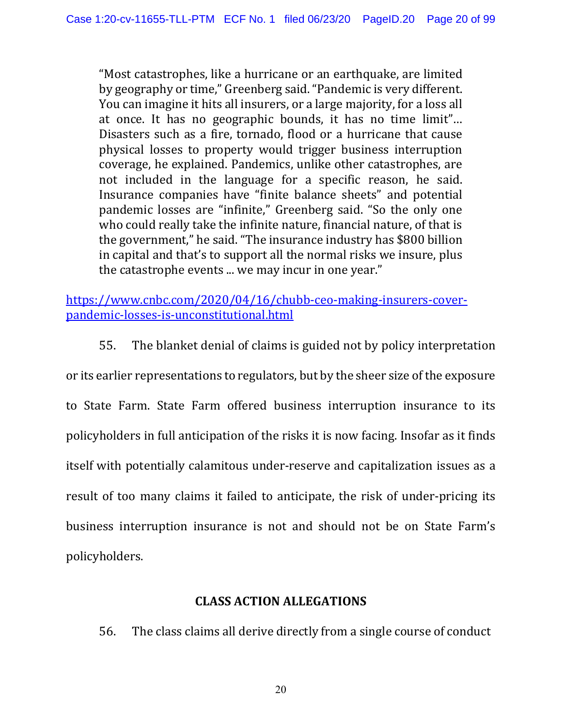"Most catastrophes, like a hurricane or an earthquake, are limited by geography or time," Greenberg said. "Pandemic is very different. You can imagine it hits all insurers, or a large majority, for a loss all at once. It has no geographic bounds, it has no time limit"… Disasters such as a fire, tornado, flood or a hurricane that cause physical losses to property would trigger business interruption coverage, he explained. Pandemics, unlike other catastrophes, are not included in the language for a specific reason, he said. Insurance companies have "finite balance sheets" and potential pandemic losses are "infinite," Greenberg said. "So the only one who could really take the infinite nature, financial nature, of that is the government," he said. "The insurance industry has \$800 billion in capital and that's to support all the normal risks we insure, plus the catastrophe events ... we may incur in one year."

[https://www.cnbc.com/2020/04/16/chubb-ceo-making-insurers-cover](https://www.cnbc.com/2020/04/16/chubb-ceo-making-insurers-cover-pandemic-losses-is-unconstitutional.html)[pandemic-losses-is-unconstitutional.html](https://www.cnbc.com/2020/04/16/chubb-ceo-making-insurers-cover-pandemic-losses-is-unconstitutional.html)

55. The blanket denial of claims is guided not by policy interpretation

or its earlier representations to regulators, but by the sheer size of the exposure to State Farm. State Farm offered business interruption insurance to its policyholders in full anticipation of the risks it is now facing. Insofar as it finds itself with potentially calamitous under-reserve and capitalization issues as a result of too many claims it failed to anticipate, the risk of under-pricing its business interruption insurance is not and should not be on State Farm's policyholders.

### **CLASS ACTION ALLEGATIONS**

56. The class claims all derive directly from a single course of conduct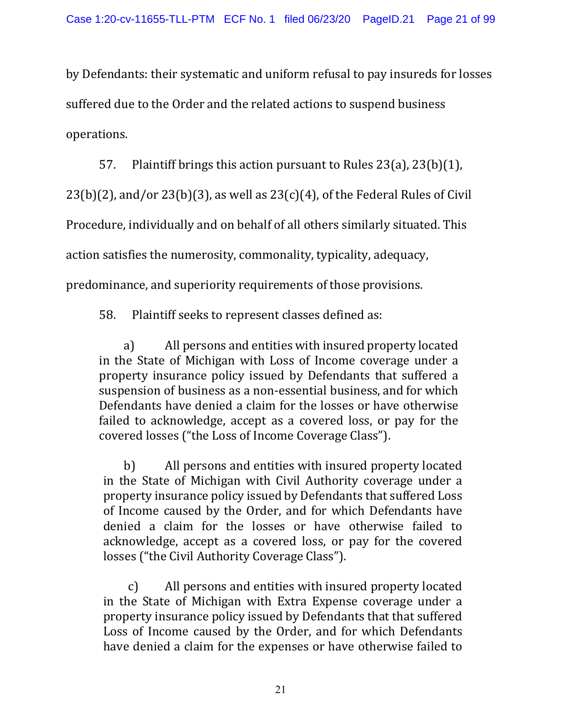by Defendants: their systematic and uniform refusal to pay insureds for losses suffered due to the Order and the related actions to suspend business operations.

57. Plaintiff brings this action pursuant to Rules 23(a), 23(b)(1),

 $23(b)(2)$ , and/or  $23(b)(3)$ , as well as  $23(c)(4)$ , of the Federal Rules of Civil

Procedure, individually and on behalf of all others similarly situated. This

action satisfies the numerosity, commonality, typicality, adequacy,

predominance, and superiority requirements of those provisions.

58. Plaintiff seeks to represent classes defined as:

a) All persons and entities with insured property located in the State of Michigan with Loss of Income coverage under a property insurance policy issued by Defendants that suffered a suspension of business as a non-essential business, and for which Defendants have denied a claim for the losses or have otherwise failed to acknowledge, accept as a covered loss, or pay for the covered losses ("the Loss of Income Coverage Class").

b) All persons and entities with insured property located in the State of Michigan with Civil Authority coverage under a property insurance policy issued by Defendants that suffered Loss of Income caused by the Order, and for which Defendants have denied a claim for the losses or have otherwise failed to acknowledge, accept as a covered loss, or pay for the covered losses ("the Civil Authority Coverage Class").

c) All persons and entities with insured property located in the State of Michigan with Extra Expense coverage under a property insurance policy issued by Defendants that that suffered Loss of Income caused by the Order, and for which Defendants have denied a claim for the expenses or have otherwise failed to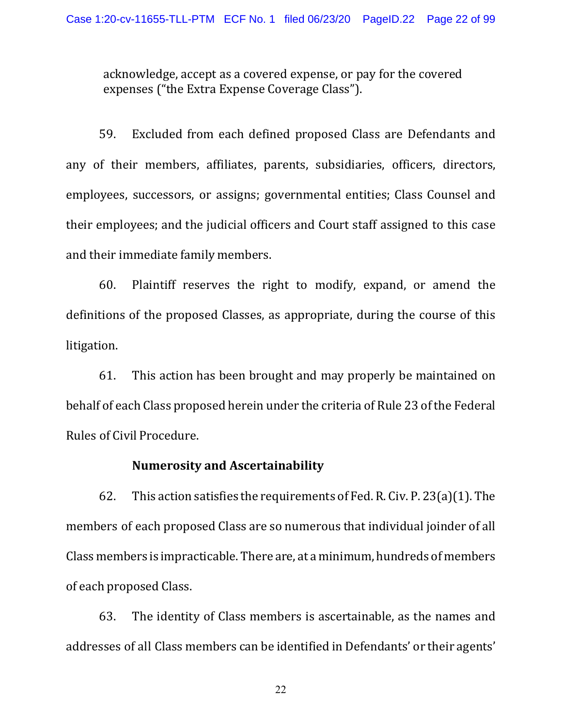acknowledge, accept as a covered expense, or pay for the covered expenses ("the Extra Expense Coverage Class").

59. Excluded from each defined proposed Class are Defendants and any of their members, affiliates, parents, subsidiaries, officers, directors, employees, successors, or assigns; governmental entities; Class Counsel and their employees; and the judicial officers and Court staff assigned to this case and their immediate family members.

60. Plaintiff reserves the right to modify, expand, or amend the definitions of the proposed Classes, as appropriate, during the course of this litigation.

61. This action has been brought and may properly be maintained on behalf of each Class proposed herein under the criteria of Rule 23 of the Federal Rules of Civil Procedure.

### **Numerosity and Ascertainability**

62. This action satisfies the requirements of Fed. R. Civ. P. 23(a)(1). The members of each proposed Class are so numerous that individual joinder of all Class members is impracticable. There are, at a minimum, hundreds of members of each proposed Class.

63. The identity of Class members is ascertainable, as the names and addresses of all Class members can be identified in Defendants' or their agents'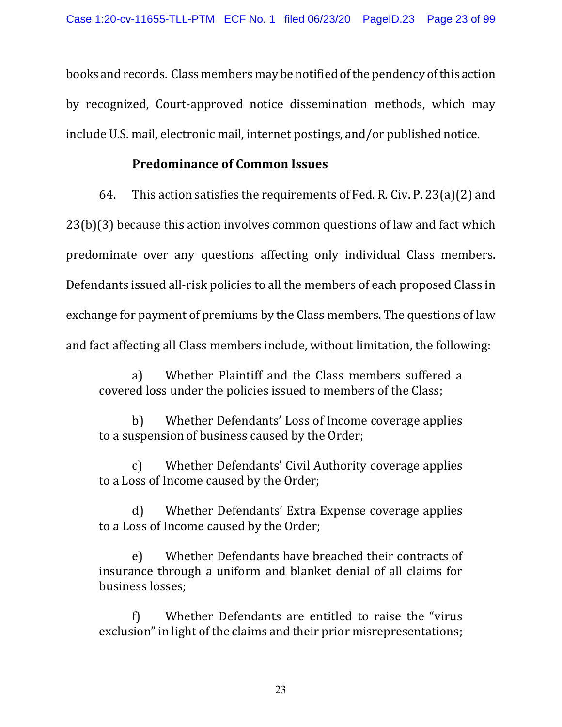books and records. Class members may be notified of the pendency of this action by recognized, Court-approved notice dissemination methods, which may include U.S. mail, electronic mail, internet postings, and/or published notice.

# **Predominance of Common Issues**

64. This action satisfies the requirements of Fed. R. Civ. P. 23(a)(2) and 23(b)(3) because this action involves common questions of law and fact which predominate over any questions affecting only individual Class members. Defendants issued all-risk policies to all the members of each proposed Class in exchange for payment of premiums by the Class members. The questions of law and fact affecting all Class members include, without limitation, the following:

a) Whether Plaintiff and the Class members suffered a covered loss under the policies issued to members of the Class;

b) Whether Defendants' Loss of Income coverage applies to a suspension of business caused by the Order;

c) Whether Defendants' Civil Authority coverage applies to a Loss of Income caused by the Order;

d) Whether Defendants' Extra Expense coverage applies to a Loss of Income caused by the Order;

e) Whether Defendants have breached their contracts of insurance through a uniform and blanket denial of all claims for business losses;

Whether Defendants are entitled to raise the "virus exclusion" in light of the claims and their prior misrepresentations;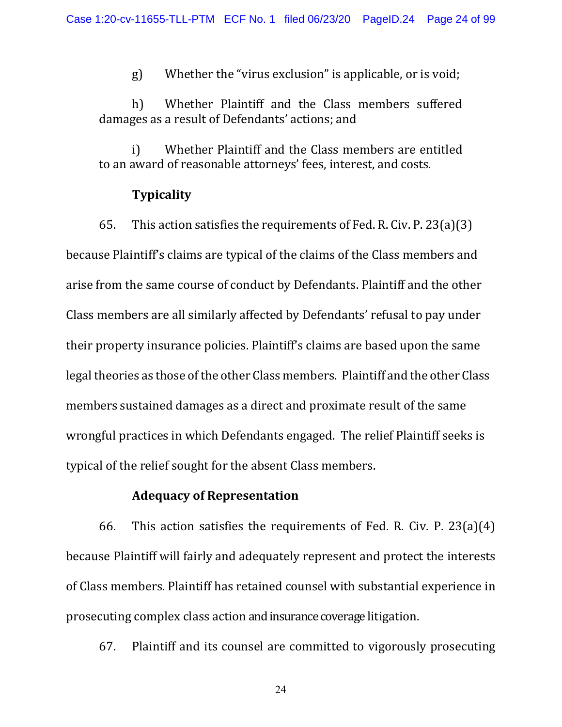g) Whether the "virus exclusion" is applicable, or is void;

h) Whether Plaintiff and the Class members suffered damages as a result of Defendants' actions; and

i) Whether Plaintiff and the Class members are entitled to an award of reasonable attorneys' fees, interest, and costs.

#### **Typicality**

65. This action satisfies the requirements of Fed. R. Civ. P. 23(a)(3) because Plaintiff's claims are typical of the claims of the Class members and arise from the same course of conduct by Defendants. Plaintiff and the other Class members are all similarly affected by Defendants' refusal to pay under their property insurance policies. Plaintiff's claims are based upon the same legal theories as those of the other Class members. Plaintiff and the other Class members sustained damages as a direct and proximate result of the same wrongful practices in which Defendants engaged. The relief Plaintiff seeks is typical of the relief sought for the absent Class members.

### **Adequacy of Representation**

66. This action satisfies the requirements of Fed. R. Civ. P. 23(a)(4) because Plaintiff will fairly and adequately represent and protect the interests of Class members. Plaintiff has retained counsel with substantial experience in prosecuting complex class action and insurance coverage litigation.

67. Plaintiff and its counsel are committed to vigorously prosecuting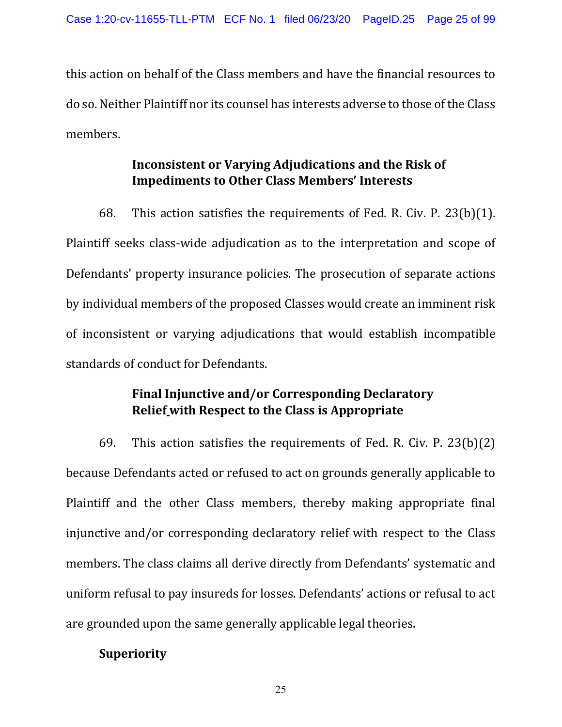this action on behalf of the Class members and have the financial resources to do so. Neither Plaintiff nor its counsel has interests adverse to those of the Class members.

# **Inconsistent or Varying Adjudications and the Risk of Impediments to Other Class Members' Interests**

68. This action satisfies the requirements of Fed. R. Civ. P. 23(b)(1). Plaintiff seeks class-wide adjudication as to the interpretation and scope of Defendants' property insurance policies. The prosecution of separate actions by individual members of the proposed Classes would create an imminent risk of inconsistent or varying adjudications that would establish incompatible standards of conduct for Defendants.

# **Final Injunctive and/or Corresponding Declaratory Relief with Respect to the Class is Appropriate**

69. This action satisfies the requirements of Fed. R. Civ. P. 23(b)(2) because Defendants acted or refused to act on grounds generally applicable to Plaintiff and the other Class members, thereby making appropriate final injunctive and/or corresponding declaratory relief with respect to the Class members. The class claims all derive directly from Defendants' systematic and uniform refusal to pay insureds for losses. Defendants' actions or refusal to act are grounded upon the same generally applicable legal theories.

# **Superiority**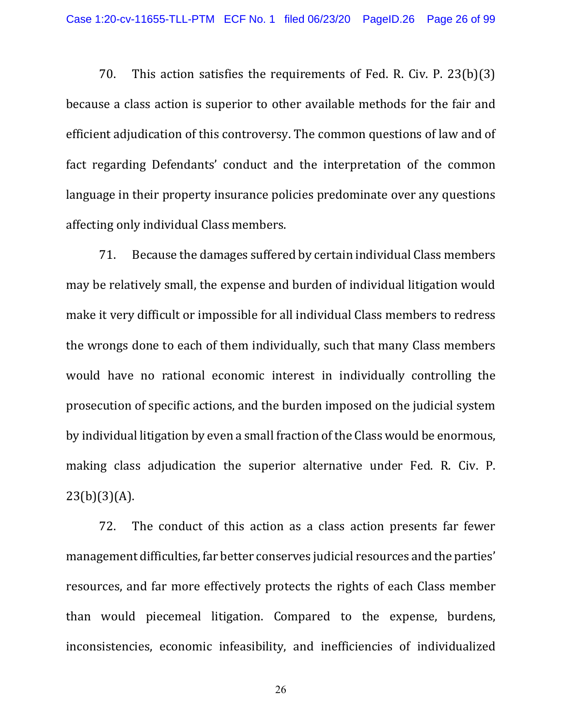70. This action satisfies the requirements of Fed. R. Civ. P. 23(b)(3) because a class action is superior to other available methods for the fair and efficient adjudication of this controversy. The common questions of law and of fact regarding Defendants' conduct and the interpretation of the common language in their property insurance policies predominate over any questions affecting only individual Class members.

71. Because the damages suffered by certain individual Class members may be relatively small, the expense and burden of individual litigation would make it very difficult or impossible for all individual Class members to redress the wrongs done to each of them individually, such that many Class members would have no rational economic interest in individually controlling the prosecution of specific actions, and the burden imposed on the judicial system by individual litigation by even a small fraction of the Class would be enormous, making class adjudication the superior alternative under Fed. R. Civ. P.  $23(b)(3)(A)$ .

72. The conduct of this action as a class action presents far fewer management difficulties, far better conserves judicial resources and the parties' resources, and far more effectively protects the rights of each Class member than would piecemeal litigation. Compared to the expense, burdens, inconsistencies, economic infeasibility, and inefficiencies of individualized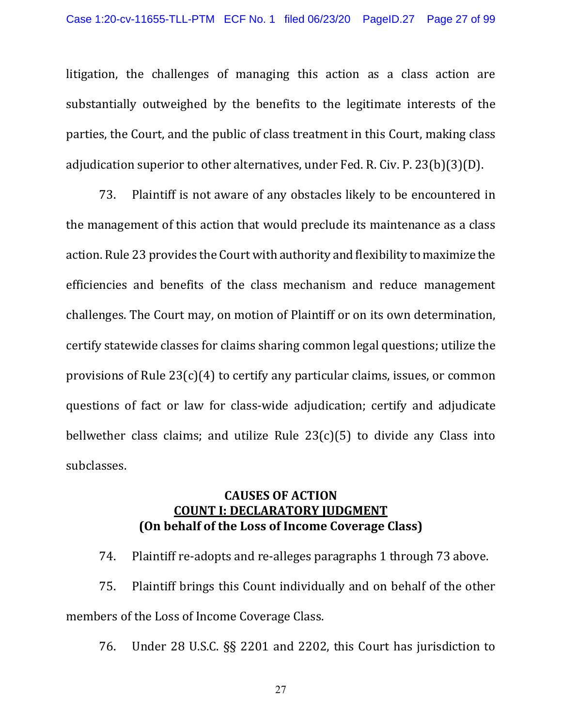litigation, the challenges of managing this action as a class action are substantially outweighed by the benefits to the legitimate interests of the parties, the Court, and the public of class treatment in this Court, making class adjudication superior to other alternatives, under Fed. R. Civ. P. 23(b)(3)(D).

73. Plaintiff is not aware of any obstacles likely to be encountered in the management of this action that would preclude its maintenance as a class action. Rule 23 provides the Court with authority and flexibility to maximize the efficiencies and benefits of the class mechanism and reduce management challenges. The Court may, on motion of Plaintiff or on its own determination, certify statewide classes for claims sharing common legal questions; utilize the provisions of Rule 23(c)(4) to certify any particular claims, issues, or common questions of fact or law for class-wide adjudication; certify and adjudicate bellwether class claims; and utilize Rule  $23(c)(5)$  to divide any Class into subclasses.

### **CAUSES OF ACTION COUNT I: DECLARATORY JUDGMENT (On behalf of the Loss of Income Coverage Class)**

74. Plaintiff re-adopts and re-alleges paragraphs 1 through 73 above.

75. Plaintiff brings this Count individually and on behalf of the other members of the Loss of Income Coverage Class.

76. Under 28 U.S.C. §§ 2201 and 2202, this Court has jurisdiction to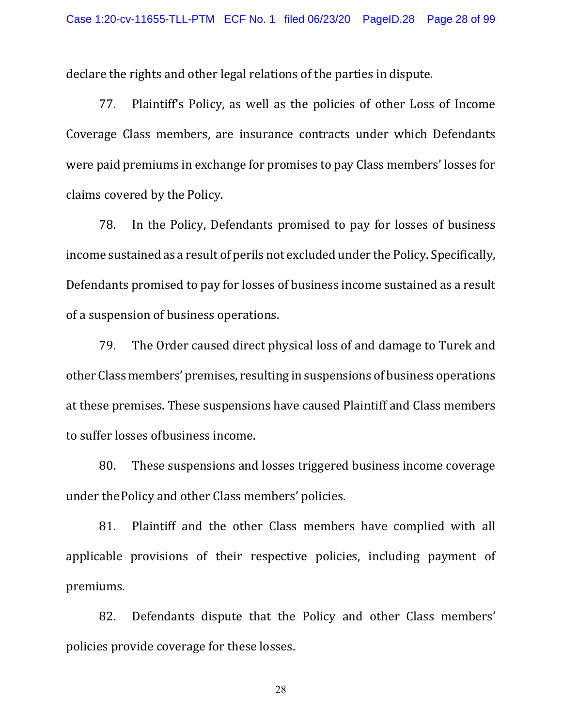declare the rights and other legal relations of the parties in dispute.

77. Plaintiff's Policy, as well as the policies of other Loss of Income Coverage Class members, are insurance contracts under which Defendants were paid premiums in exchange for promises to pay Class members' losses for claims covered by the Policy.

78. In the Policy, Defendants promised to pay for losses of business income sustained as a result of perils not excluded under the Policy. Specifically, Defendants promised to pay for losses of business income sustained as a result of a suspension of business operations.

79. The Order caused direct physical loss of and damage to Turek and other Class members' premises, resulting in suspensions of business operations at these premises. These suspensions have caused Plaintiff and Class members to suffer losses ofbusiness income.

80. These suspensions and losses triggered business income coverage under thePolicy and other Class members' policies.

81. Plaintiff and the other Class members have complied with all applicable provisions of their respective policies, including payment of premiums.

82. Defendants dispute that the Policy and other Class members' policies provide coverage for these losses.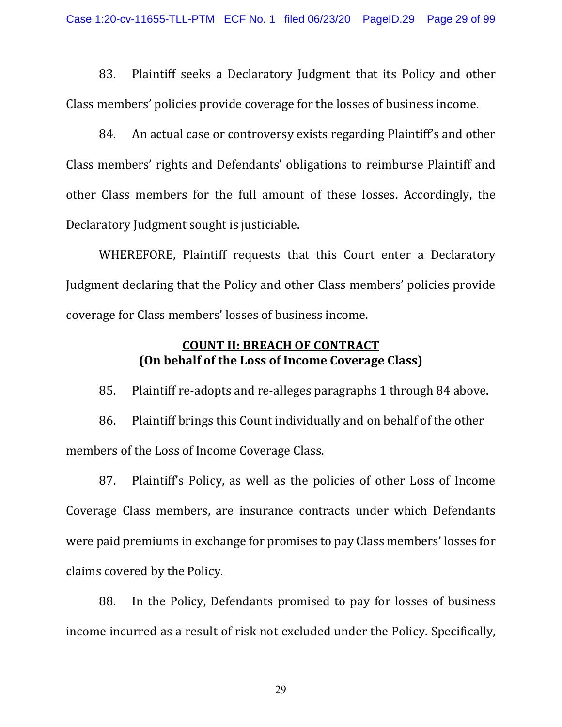83. Plaintiff seeks a Declaratory Judgment that its Policy and other Class members' policies provide coverage for the losses of business income.

84. An actual case or controversy exists regarding Plaintiff's and other Class members' rights and Defendants' obligations to reimburse Plaintiff and other Class members for the full amount of these losses. Accordingly, the Declaratory Judgment sought is justiciable.

WHEREFORE, Plaintiff requests that this Court enter a Declaratory Judgment declaring that the Policy and other Class members' policies provide coverage for Class members' losses of business income.

# **COUNT II: BREACH OF CONTRACT (On behalf of the Loss of Income Coverage Class)**

85. Plaintiff re-adopts and re-alleges paragraphs 1 through 84 above.

86. Plaintiff brings this Count individually and on behalf of the other members of the Loss of Income Coverage Class.

87. Plaintiff's Policy, as well as the policies of other Loss of Income Coverage Class members, are insurance contracts under which Defendants were paid premiums in exchange for promises to pay Class members' losses for claims covered by the Policy.

88. In the Policy, Defendants promised to pay for losses of business income incurred as a result of risk not excluded under the Policy. Specifically,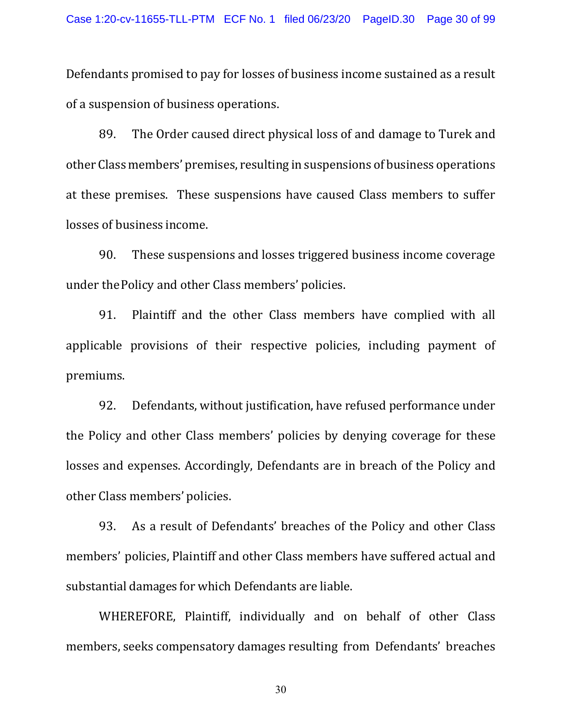Defendants promised to pay for losses of business income sustained as a result of a suspension of business operations.

89. The Order caused direct physical loss of and damage to Turek and other Class members' premises, resulting in suspensions of business operations at these premises. These suspensions have caused Class members to suffer losses of business income.

90. These suspensions and losses triggered business income coverage under thePolicy and other Class members' policies.

91. Plaintiff and the other Class members have complied with all applicable provisions of their respective policies, including payment of premiums.

92. Defendants, without justification, have refused performance under the Policy and other Class members' policies by denying coverage for these losses and expenses. Accordingly, Defendants are in breach of the Policy and other Class members' policies.

93. As a result of Defendants' breaches of the Policy and other Class members' policies, Plaintiff and other Class members have suffered actual and substantial damages for which Defendants are liable.

WHEREFORE, Plaintiff, individually and on behalf of other Class members, seeks compensatory damages resulting from Defendants' breaches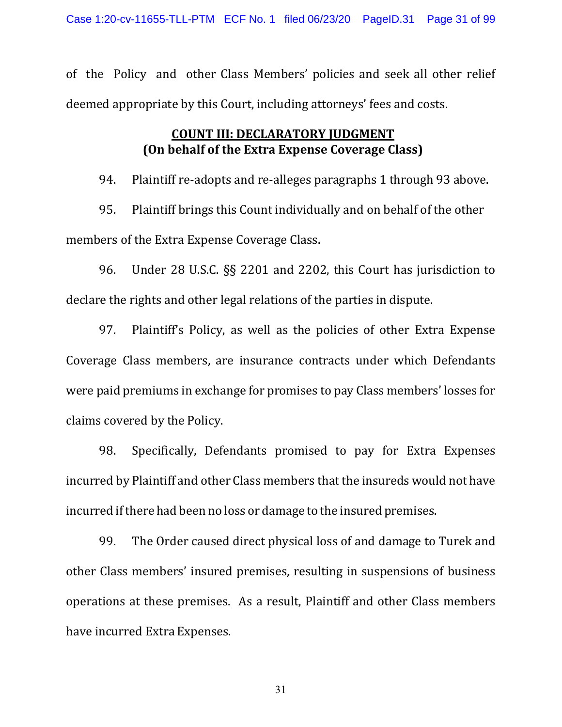of the Policy and other Class Members' policies and seek all other relief deemed appropriate by this Court, including attorneys' fees and costs.

# **COUNT III: DECLARATORY JUDGMENT (On behalf of the Extra Expense Coverage Class)**

94. Plaintiff re-adopts and re-alleges paragraphs 1 through 93 above.

95. Plaintiff brings this Count individually and on behalf of the other members of the Extra Expense Coverage Class.

96. Under 28 U.S.C. §§ 2201 and 2202, this Court has jurisdiction to declare the rights and other legal relations of the parties in dispute.

97. Plaintiff's Policy, as well as the policies of other Extra Expense Coverage Class members, are insurance contracts under which Defendants were paid premiums in exchange for promises to pay Class members' losses for claims covered by the Policy.

98. Specifically, Defendants promised to pay for Extra Expenses incurred by Plaintiff and other Class members that the insureds would not have incurred ifthere had been no loss or damage to the insured premises.

99. The Order caused direct physical loss of and damage to Turek and other Class members' insured premises, resulting in suspensions of business operations at these premises. As a result, Plaintiff and other Class members have incurred Extra Expenses.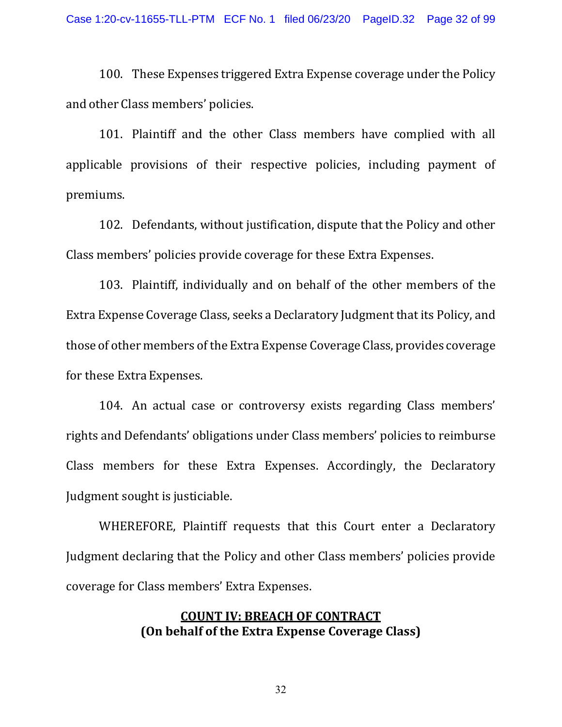100. These Expenses triggered Extra Expense coverage under the Policy and other Class members' policies.

101. Plaintiff and the other Class members have complied with all applicable provisions of their respective policies, including payment of premiums.

102. Defendants, without justification, dispute that the Policy and other Class members' policies provide coverage for these Extra Expenses.

103. Plaintiff, individually and on behalf of the other members of the Extra Expense Coverage Class, seeks a Declaratory Judgment that its Policy, and those of other members of the Extra Expense Coverage Class, provides coverage for these Extra Expenses.

104. An actual case or controversy exists regarding Class members' rights and Defendants' obligations under Class members' policies to reimburse Class members for these Extra Expenses. Accordingly, the Declaratory Judgment sought is justiciable.

WHEREFORE, Plaintiff requests that this Court enter a Declaratory Judgment declaring that the Policy and other Class members' policies provide coverage for Class members' Extra Expenses.

### **COUNT IV: BREACH OF CONTRACT (On behalf of the Extra Expense Coverage Class)**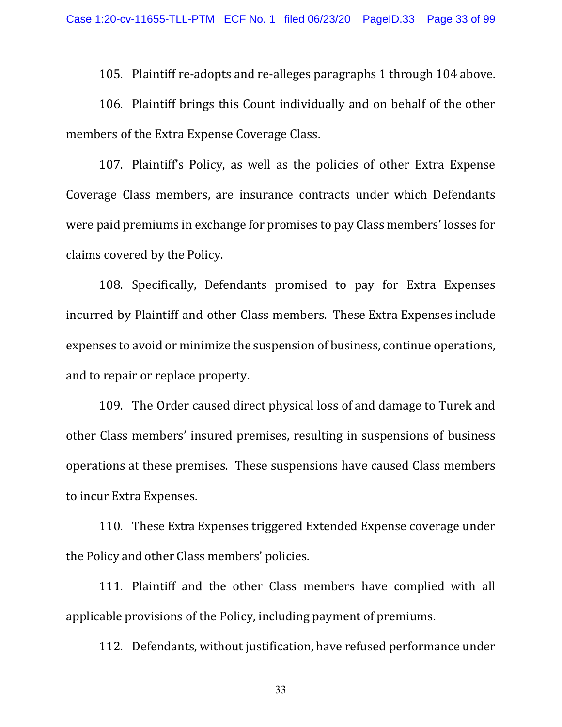105. Plaintiff re-adopts and re-alleges paragraphs 1 through 104 above.

106. Plaintiff brings this Count individually and on behalf of the other members of the Extra Expense Coverage Class.

107. Plaintiff's Policy, as well as the policies of other Extra Expense Coverage Class members, are insurance contracts under which Defendants were paid premiums in exchange for promises to pay Class members' losses for claims covered by the Policy.

108. Specifically, Defendants promised to pay for Extra Expenses incurred by Plaintiff and other Class members. These Extra Expenses include expenses to avoid or minimize the suspension of business, continue operations, and to repair or replace property.

109. The Order caused direct physical loss of and damage to Turek and other Class members' insured premises, resulting in suspensions of business operations at these premises. These suspensions have caused Class members to incur Extra Expenses.

110. These Extra Expenses triggered Extended Expense coverage under the Policy and other Class members' policies.

111. Plaintiff and the other Class members have complied with all applicable provisions of the Policy, including payment of premiums.

112. Defendants, without justification, have refused performance under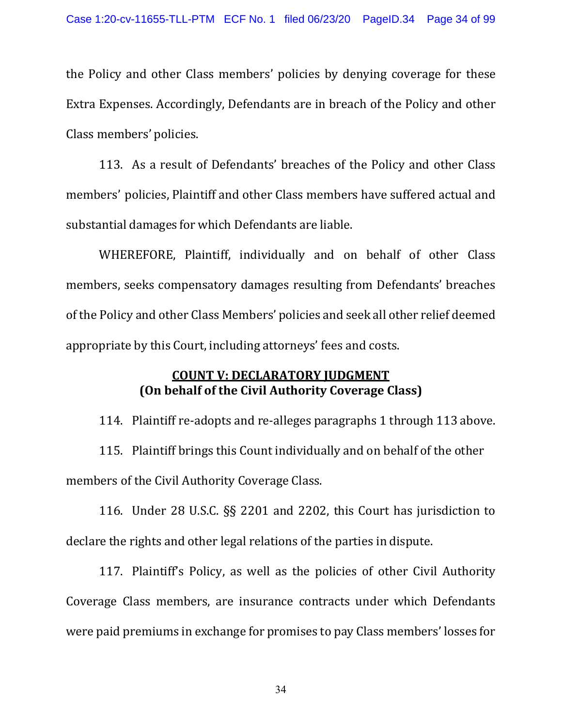the Policy and other Class members' policies by denying coverage for these Extra Expenses. Accordingly, Defendants are in breach of the Policy and other Class members' policies.

113. As a result of Defendants' breaches of the Policy and other Class members' policies, Plaintiff and other Class members have suffered actual and substantial damages for which Defendants are liable.

WHEREFORE, Plaintiff, individually and on behalf of other Class members, seeks compensatory damages resulting from Defendants' breaches of the Policy and other Class Members' policies and seek all other relief deemed appropriate by this Court, including attorneys' fees and costs.

# **COUNT V: DECLARATORY JUDGMENT (On behalf of the Civil Authority Coverage Class)**

114. Plaintiff re-adopts and re-alleges paragraphs 1 through 113 above.

115. Plaintiff brings this Count individually and on behalf of the other members of the Civil Authority Coverage Class.

116. Under 28 U.S.C. §§ 2201 and 2202, this Court has jurisdiction to declare the rights and other legal relations of the parties in dispute.

117. Plaintiff's Policy, as well as the policies of other Civil Authority Coverage Class members, are insurance contracts under which Defendants were paid premiums in exchange for promises to pay Class members' losses for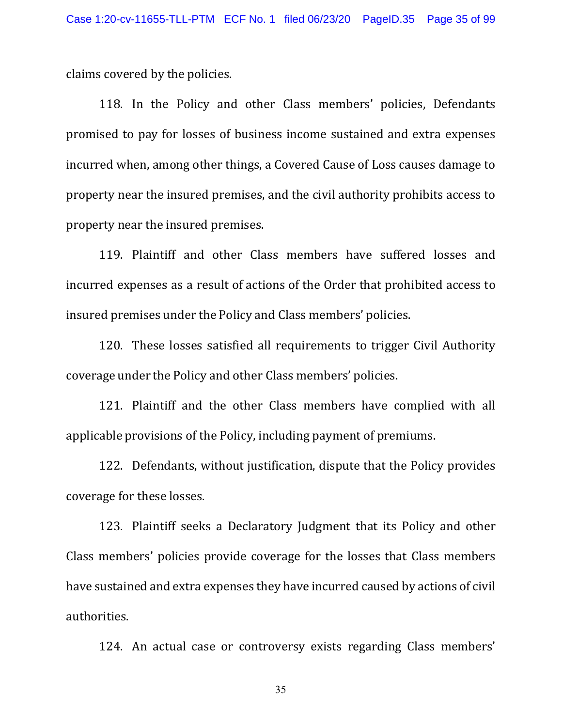claims covered by the policies.

118. In the Policy and other Class members' policies, Defendants promised to pay for losses of business income sustained and extra expenses incurred when, among other things, a Covered Cause of Loss causes damage to property near the insured premises, and the civil authority prohibits access to property near the insured premises.

119. Plaintiff and other Class members have suffered losses and incurred expenses as a result of actions of the Order that prohibited access to insured premises under the Policy and Class members' policies.

120. These losses satisfied all requirements to trigger Civil Authority coverage under the Policy and other Class members' policies.

121. Plaintiff and the other Class members have complied with all applicable provisions of the Policy, including payment of premiums.

122. Defendants, without justification, dispute that the Policy provides coverage for these losses.

123. Plaintiff seeks a Declaratory Judgment that its Policy and other Class members' policies provide coverage for the losses that Class members have sustained and extra expenses they have incurred caused by actions of civil authorities.

124. An actual case or controversy exists regarding Class members'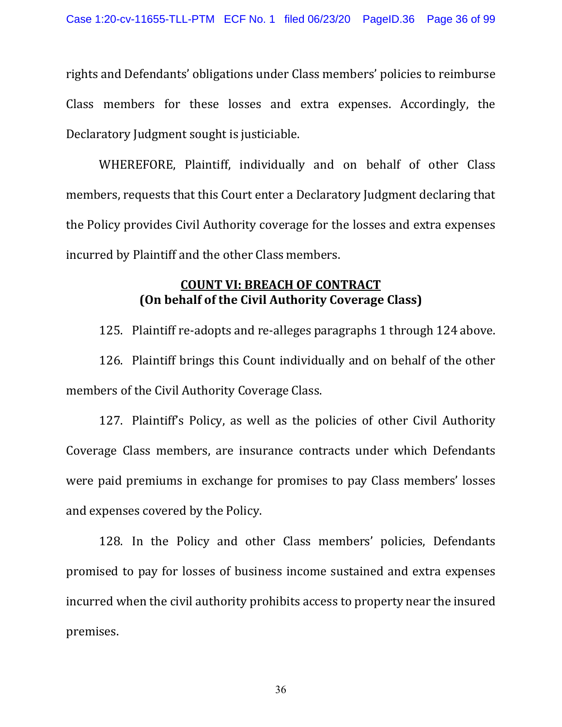rights and Defendants' obligations under Class members' policies to reimburse Class members for these losses and extra expenses. Accordingly, the Declaratory Judgment sought is justiciable.

WHEREFORE, Plaintiff, individually and on behalf of other Class members, requests that this Court enter a Declaratory Judgment declaring that the Policy provides Civil Authority coverage for the losses and extra expenses incurred by Plaintiff and the other Class members.

# **COUNT VI: BREACH OF CONTRACT (On behalf of the Civil Authority Coverage Class)**

125. Plaintiff re-adopts and re-alleges paragraphs 1 through 124 above.

126. Plaintiff brings this Count individually and on behalf of the other members of the Civil Authority Coverage Class.

127. Plaintiff's Policy, as well as the policies of other Civil Authority Coverage Class members, are insurance contracts under which Defendants were paid premiums in exchange for promises to pay Class members' losses and expenses covered by the Policy.

128. In the Policy and other Class members' policies, Defendants promised to pay for losses of business income sustained and extra expenses incurred when the civil authority prohibits access to property near the insured premises.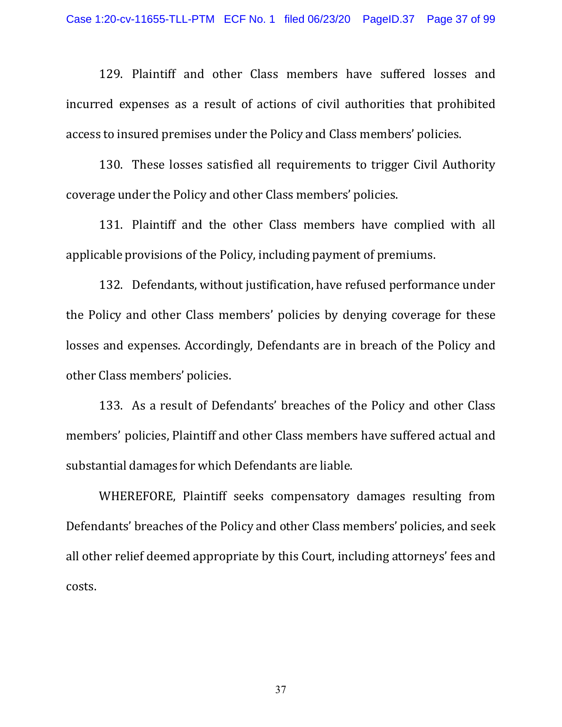129. Plaintiff and other Class members have suffered losses and incurred expenses as a result of actions of civil authorities that prohibited access to insured premises under the Policy and Class members' policies.

130. These losses satisfied all requirements to trigger Civil Authority coverage under the Policy and other Class members' policies.

131. Plaintiff and the other Class members have complied with all applicable provisions of the Policy, including payment of premiums.

132. Defendants, without justification, have refused performance under the Policy and other Class members' policies by denying coverage for these losses and expenses. Accordingly, Defendants are in breach of the Policy and other Class members' policies.

133. As a result of Defendants' breaches of the Policy and other Class members' policies, Plaintiff and other Class members have suffered actual and substantial damages for which Defendants are liable.

WHEREFORE, Plaintiff seeks compensatory damages resulting from Defendants' breaches of the Policy and other Class members' policies, and seek all other relief deemed appropriate by this Court, including attorneys' fees and costs.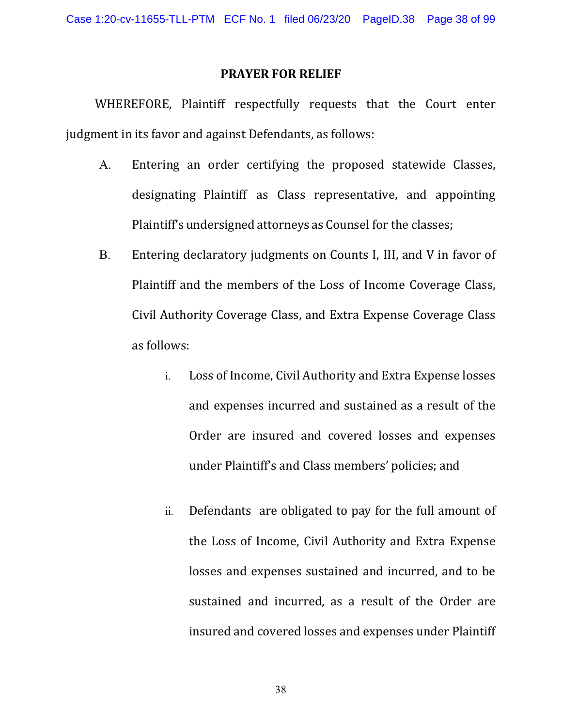#### **PRAYER FOR RELIEF**

WHEREFORE, Plaintiff respectfully requests that the Court enter judgment in its favor and against Defendants, as follows:

- A. Entering an order certifying the proposed statewide Classes, designating Plaintiff as Class representative, and appointing Plaintiff's undersigned attorneys as Counsel for the classes;
- B. Entering declaratory judgments on Counts I, III, and V in favor of Plaintiff and the members of the Loss of Income Coverage Class, Civil Authority Coverage Class, and Extra Expense Coverage Class as follows:
	- i. Loss of Income, Civil Authority and Extra Expense losses and expenses incurred and sustained as a result of the Order are insured and covered losses and expenses under Plaintiff's and Class members' policies; and
	- ii. Defendants are obligated to pay for the full amount of the Loss of Income, Civil Authority and Extra Expense losses and expenses sustained and incurred, and to be sustained and incurred, as a result of the Order are insured and covered losses and expenses under Plaintiff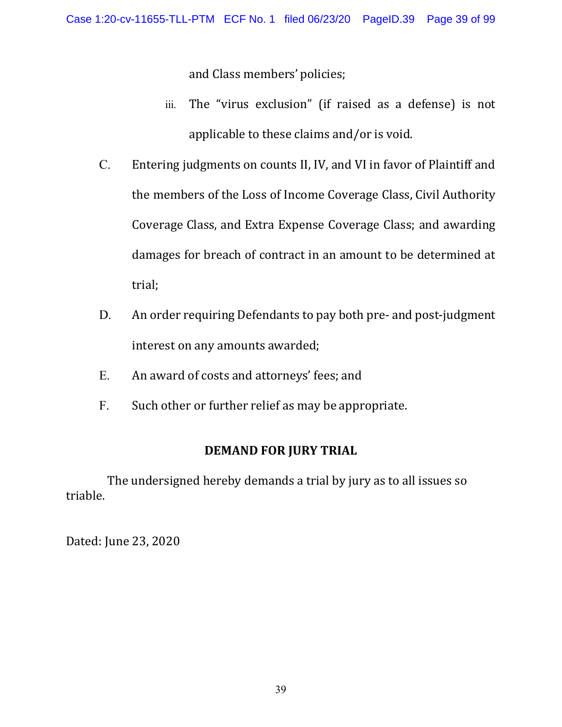and Class members' policies;

- iii. The "virus exclusion" (if raised as a defense) is not applicable to these claims and/or is void.
- C. Entering judgments on counts II, IV, and VI in favor of Plaintiff and the members of the Loss of Income Coverage Class, Civil Authority Coverage Class, and Extra Expense Coverage Class; and awarding damages for breach of contract in an amount to be determined at trial;
- D. An order requiring Defendants to pay both pre- and post-judgment interest on any amounts awarded;
- E. An award of costs and attorneys' fees; and
- F. Such other or further relief as may be appropriate.

# **DEMAND FOR JURY TRIAL**

The undersigned hereby demands a trial by jury as to all issues so triable.

Dated: June 23, 2020